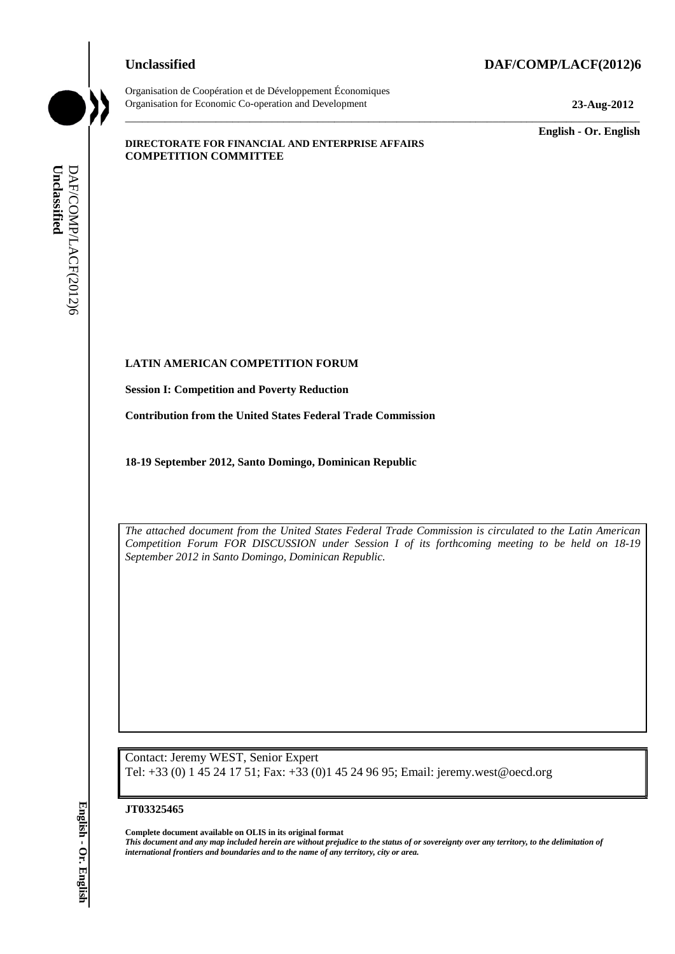# **Unclassified DAF/COMP/LACF(2012)6**



**Unclassified**

Unclassified

DAF/COMP/LACF(2012)6

DAF/COMP/LACF(2012)6

Organisation de Coopération et de Développement Économiques Organisation for Economic Co-operation and Development **23-Aug-2012**

**English - Or. English**

#### **DIRECTORATE FOR FINANCIAL AND ENTERPRISE AFFAIRS COMPETITION COMMITTEE**

#### **LATIN AMERICAN COMPETITION FORUM**

**Session I: Competition and Poverty Reduction**

**Contribution from the United States Federal Trade Commission**

**18-19 September 2012, Santo Domingo, Dominican Republic**

*The attached document from the United States Federal Trade Commission is circulated to the Latin American Competition Forum FOR DISCUSSION under Session I of its forthcoming meeting to be held on 18-19 September 2012 in Santo Domingo, Dominican Republic.*

\_\_\_\_\_\_\_\_\_\_\_\_\_\_\_\_\_\_\_\_\_\_\_\_\_\_\_\_\_\_\_\_\_\_\_\_\_\_\_\_\_\_\_\_\_\_\_\_\_\_\_\_\_\_\_\_\_\_\_\_\_\_\_\_\_\_\_\_\_\_\_\_\_\_\_\_\_\_\_\_\_\_\_\_\_\_\_\_\_\_\_

Contact: Jeremy WEST, Senior Expert Tel: +33 (0) 1 45 24 17 51; Fax: +33 (0)1 45 24 96 95; Email: jeremy.west@oecd.org

#### **JT03325465**

**Complete document available on OLIS in its original format** *This document and any map included herein are without prejudice to the status of or sovereignty over any territory, to the delimitation of international frontiers and boundaries and to the name of any territory, city or area.*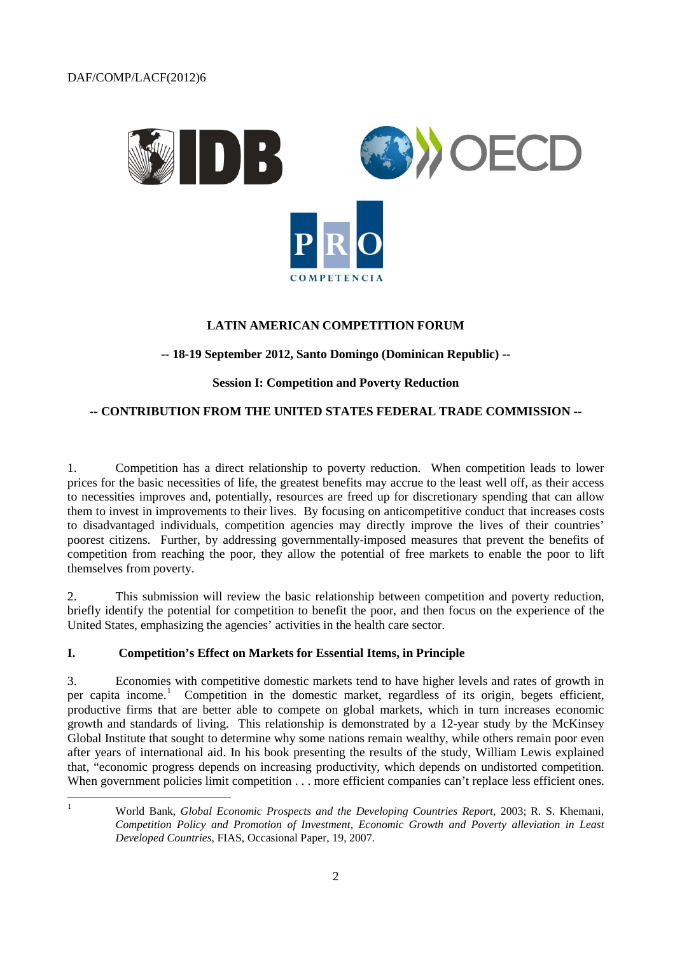

# **LATIN AMERICAN COMPETITION FORUM**

# **-- 18-19 September 2012, Santo Domingo (Dominican Republic) --**

# **Session I: Competition and Poverty Reduction**

# **-- CONTRIBUTION FROM THE UNITED STATES FEDERAL TRADE COMMISSION --**

1. Competition has a direct relationship to poverty reduction. When competition leads to lower prices for the basic necessities of life, the greatest benefits may accrue to the least well off, as their access to necessities improves and, potentially, resources are freed up for discretionary spending that can allow them to invest in improvements to their lives. By focusing on anticompetitive conduct that increases costs to disadvantaged individuals, competition agencies may directly improve the lives of their countries' poorest citizens. Further, by addressing governmentally-imposed measures that prevent the benefits of competition from reaching the poor, they allow the potential of free markets to enable the poor to lift themselves from poverty.

2. This submission will review the basic relationship between competition and poverty reduction, briefly identify the potential for competition to benefit the poor, and then focus on the experience of the United States, emphasizing the agencies' activities in the health care sector.

#### **I. Competition's Effect on Markets for Essential Items, in Principle**

3. Economies with competitive domestic markets tend to have higher levels and rates of growth in per capita income.<sup>[1](#page-1-0)</sup> Competition in the domestic market, regardless of its origin, begets efficient, productive firms that are better able to compete on global markets, which in turn increases economic growth and standards of living. This relationship is demonstrated by a 12-year study by the McKinsey Global Institute that sought to determine why some nations remain wealthy, while others remain poor even after years of international aid. In his book presenting the results of the study, William Lewis explained that, "economic progress depends on increasing productivity, which depends on undistorted competition. When government policies limit competition . . . more efficient companies can't replace less efficient ones.

<span id="page-1-0"></span>|<br>|<br>|

World Bank, *Global Economic Prospects and the Developing Countries Report*, 2003; R. S. Khemani, *Competition Policy and Promotion of Investment, Economic Growth and Poverty alleviation in Least Developed Countries,* FIAS, Occasional Paper, 19, 2007.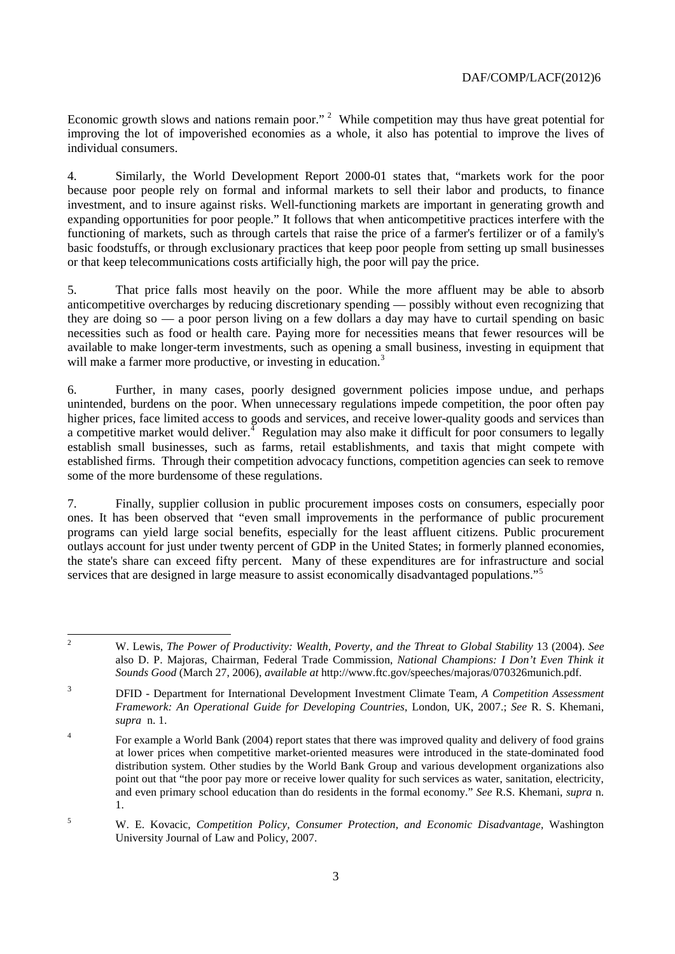Economic growth slows and nations remain poor."<sup>[2](#page-2-0)</sup> While competition may thus have great potential for improving the lot of impoverished economies as a whole, it also has potential to improve the lives of individual consumers.

4. Similarly, the World Development Report 2000-01 states that, "markets work for the poor because poor people rely on formal and informal markets to sell their labor and products, to finance investment, and to insure against risks. Well-functioning markets are important in generating growth and expanding opportunities for poor people." It follows that when anticompetitive practices interfere with the functioning of markets, such as through cartels that raise the price of a farmer's fertilizer or of a family's basic foodstuffs, or through exclusionary practices that keep poor people from setting up small businesses or that keep telecommunications costs artificially high, the poor will pay the price.

5. That price falls most heavily on the poor. While the more affluent may be able to absorb anticompetitive overcharges by reducing discretionary spending –– possibly without even recognizing that they are doing so –– a poor person living on a few dollars a day may have to curtail spending on basic necessities such as food or health care. Paying more for necessities means that fewer resources will be available to make longer-term investments, such as opening a small business, investing in equipment that will make a farmer more productive, or investing in education.<sup>[3](#page-2-1)</sup>

6. Further, in many cases, poorly designed government policies impose undue, and perhaps unintended, burdens on the poor. When unnecessary regulations impede competition, the poor often pay higher prices, face limited access to goods and services, and receive lower-quality goods and services than a competitive market would deliver.<sup> $\overline{4}$  $\overline{4}$  $\overline{4}$ </sup> Regulation may also make it difficult for poor consumers to legally establish small businesses, such as farms, retail establishments, and taxis that might compete with established firms. Through their competition advocacy functions, competition agencies can seek to remove some of the more burdensome of these regulations.

7. Finally, supplier collusion in public procurement imposes costs on consumers, especially poor ones. It has been observed that "even small improvements in the performance of public procurement programs can yield large social benefits, especially for the least affluent citizens. Public procurement outlays account for just under twenty percent of GDP in the United States; in formerly planned economies, the state's share can exceed fifty percent. Many of these expenditures are for infrastructure and social services that are designed in large measure to assist economically disadvantaged populations."<sup>[5](#page-2-3)</sup>

<span id="page-2-0"></span> <sup>2</sup> W. Lewis, *The Power of Productivity: Wealth, Poverty, and the Threat to Global Stability* 13 (2004). *See* also D. P. Majoras, Chairman, Federal Trade Commission, *National Champions: I Don't Even Think it Sounds Good* (March 27, 2006), *available at* http://www.ftc.gov/speeches/majoras/070326munich.pdf.

<span id="page-2-1"></span><sup>3</sup> DFID - Department for International Development Investment Climate Team, *A Competition Assessment Framework: An Operational Guide for Developing Countries*, London, UK, 2007.; *See* R. S. Khemani, *supra* n. 1.

<span id="page-2-2"></span><sup>&</sup>lt;sup>4</sup> For example a World Bank (2004) report states that there was improved quality and delivery of food grains at lower prices when competitive market-oriented measures were introduced in the state-dominated food distribution system. Other studies by the World Bank Group and various development organizations also point out that "the poor pay more or receive lower quality for such services as water, sanitation, electricity, and even primary school education than do residents in the formal economy." *See* R.S. Khemani, *supra* n. 1.

<span id="page-2-3"></span><sup>5</sup> W. E. Kovacic, *Competition Policy, Consumer Protection, and Economic Disadvantage,* Washington University Journal of Law and Policy, 2007.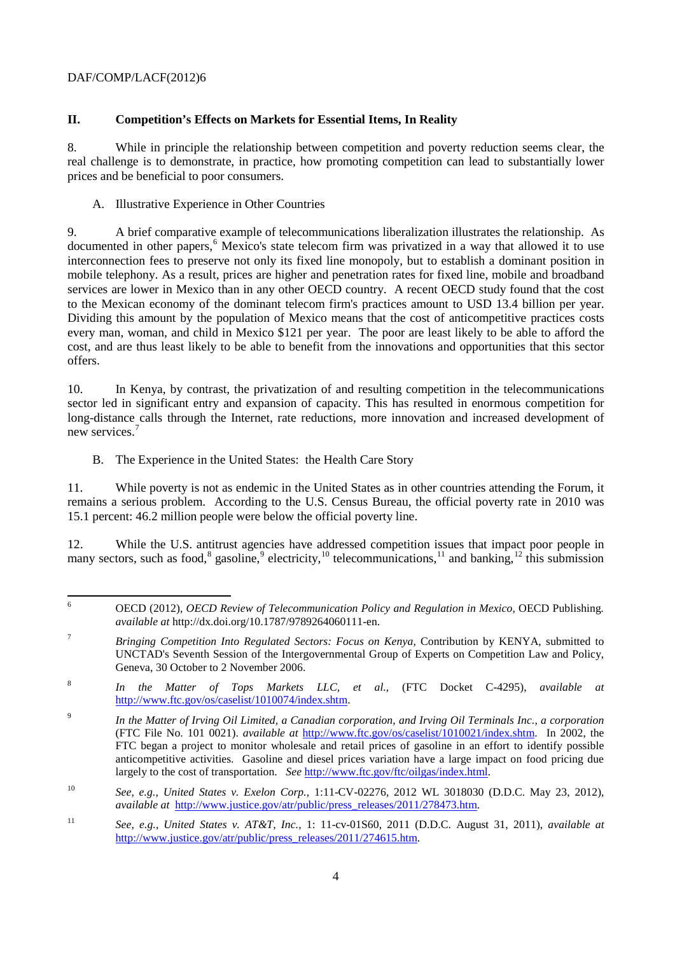# **II. Competition's Effects on Markets for Essential Items, In Reality**

8. While in principle the relationship between competition and poverty reduction seems clear, the real challenge is to demonstrate, in practice, how promoting competition can lead to substantially lower prices and be beneficial to poor consumers.

A. Illustrative Experience in Other Countries

9. A brief comparative example of telecommunications liberalization illustrates the relationship. As documented in other papers,<sup>[6](#page-3-0)</sup> Mexico's state telecom firm was privatized in a way that allowed it to use interconnection fees to preserve not only its fixed line monopoly, but to establish a dominant position in mobile telephony. As a result, prices are higher and penetration rates for fixed line, mobile and broadband services are lower in Mexico than in any other OECD country. A recent OECD study found that the cost to the Mexican economy of the dominant telecom firm's practices amount to USD 13.4 billion per year. Dividing this amount by the population of Mexico means that the cost of anticompetitive practices costs every man, woman, and child in Mexico \$121 per year. The poor are least likely to be able to afford the cost, and are thus least likely to be able to benefit from the innovations and opportunities that this sector offers.

10. In Kenya, by contrast, the privatization of and resulting competition in the telecommunications sector led in significant entry and expansion of capacity. This has resulted in enormous competition for long-distance calls through the Internet, rate reductions, more innovation and increased development of new services.<sup>[7](#page-3-1)</sup>

B. The Experience in the United States: the Health Care Story

11. While poverty is not as endemic in the United States as in other countries attending the Forum, it remains a serious problem. According to the U.S. Census Bureau, the official poverty rate in 2010 was 15.1 percent: 46.2 million people were below the official poverty line.

12. While the U.S. antitrust agencies have addressed competition issues that impact poor people in many sectors, such as food,<sup>[8](#page-3-2)</sup> gasoline,<sup>[9](#page-3-3)</sup> electricity,<sup>[10](#page-3-4)</sup> telecommunications,<sup>[11](#page-3-5)</sup> and banking,<sup>[12](#page-3-6)</sup> this submission

<span id="page-3-6"></span><span id="page-3-0"></span> <sup>6</sup> OECD (2012), *OECD Review of Telecommunication Policy and Regulation in Mexico,* OECD Publishing*. available at* http://dx.doi.org/10.1787/9789264060111-en.

<span id="page-3-1"></span><sup>7</sup> *Bringing Competition Into Regulated Sectors: Focus on Kenya,* Contribution by KENYA, submitted to UNCTAD's Seventh Session of the Intergovernmental Group of Experts on Competition Law and Policy, Geneva, 30 October to 2 November 2006.

<span id="page-3-2"></span><sup>8</sup> *In the Matter of Tops Markets LLC, et al.,* (FTC Docket C-4295), *available at* [http://www.ftc.gov/os/caselist/1010074/index.shtm.](http://www.ftc.gov/os/caselist/1010074/index.shtm)

<span id="page-3-3"></span><sup>9</sup> *In the Matter of Irving Oil Limited, a Canadian corporation, and Irving Oil Terminals Inc., a corporation* (FTC File No. 101 0021). *available at* [http://www.ftc.gov/os/caselist/1010021/index.shtm.](http://www.ftc.gov/os/caselist/1010021/index.shtm) In 2002, the FTC began a project to monitor wholesale and retail prices of gasoline in an effort to identify possible anticompetitive activities. Gasoline and diesel prices variation have a large impact on food pricing due largely to the cost of transportation. *See* [http://www.ftc.gov/ftc/oilgas/index.html.](http://www.ftc.gov/ftc/oilgas/index.html) 

<span id="page-3-4"></span><sup>10</sup> *See, e.g., United States v. Exelon Corp.,* 1:11-CV-02276, 2012 WL 3018030 (D.D.C. May 23, 2012), *available at* [http://www.justice.gov/atr/public/press\\_releases/2011/278473.htm.](http://www.justice.gov/atr/public/press_releases/2011/278473.htm)

<span id="page-3-5"></span><sup>11</sup> *See, e.g., United States v. AT&T, Inc.,* 1: 11-cv-01S60, 2011 (D.D.C. August 31, 2011), *available at*  [http://www.justice.gov/atr/public/press\\_releases/2011/274615.htm.](http://www.justice.gov/atr/public/press_releases/2011/274615.htm)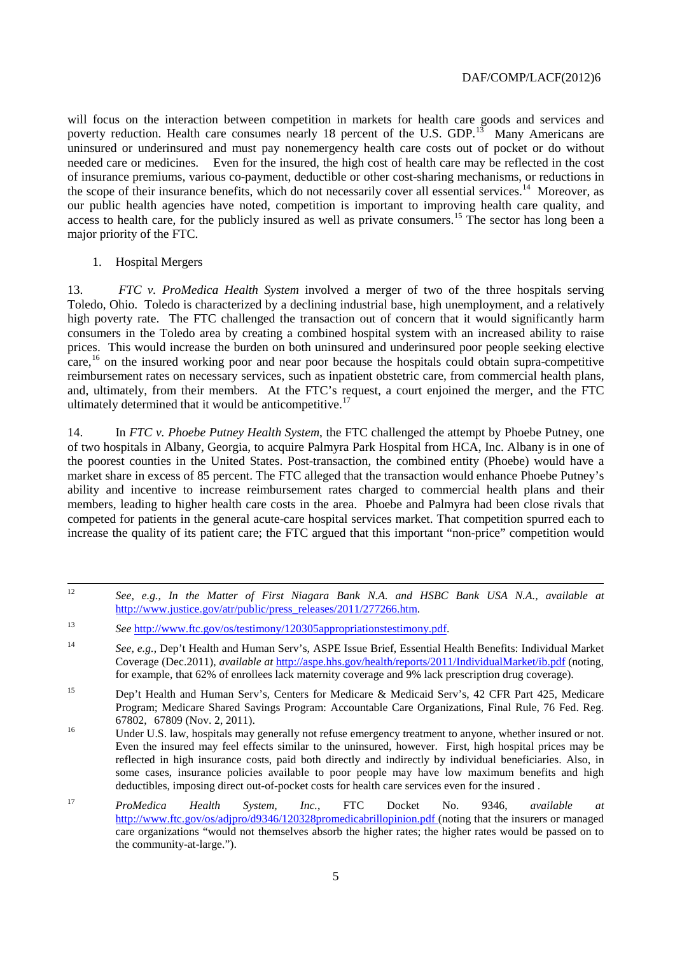will focus on the interaction between competition in markets for health care goods and services and poverty reduction. Health care consumes nearly 18 percent of the U.S. GDP.<sup>13</sup> Many Americans are uninsured or underinsured and must pay nonemergency health care costs out of pocket or do without needed care or medicines. Even for the insured, the high cost of health care may be reflected in the cost of insurance premiums, various co-payment, deductible or other cost-sharing mechanisms, or reductions in the scope of their insurance benefits, which do not necessarily cover all essential services.<sup>[14](#page-4-1)</sup> Moreover, as our public health agencies have noted, competition is important to improving health care quality, and access to health care, for the publicly insured as well as private consumers.<sup>[15](#page-4-2)</sup> The sector has long been a major priority of the FTC.

1. Hospital Mergers

13. *FTC v. ProMedica Health System* involved a merger of two of the three hospitals serving Toledo, Ohio. Toledo is characterized by a declining industrial base, high unemployment, and a relatively high poverty rate. The FTC challenged the transaction out of concern that it would significantly harm consumers in the Toledo area by creating a combined hospital system with an increased ability to raise prices. This would increase the burden on both uninsured and underinsured poor people seeking elective care,<sup>[16](#page-4-3)</sup> on the insured working poor and near poor because the hospitals could obtain supra-competitive reimbursement rates on necessary services, such as inpatient obstetric care, from commercial health plans, and, ultimately, from their members. At the FTC's request, a court enjoined the merger, and the FTC ultimately determined that it would be anticompetitive.<sup>[17](#page-4-4)</sup>

14. In *FTC v. Phoebe Putney Health System*, the FTC challenged the attempt by Phoebe Putney, one of two hospitals in Albany, Georgia, to acquire Palmyra Park Hospital from HCA, Inc. Albany is in one of the poorest counties in the United States. Post-transaction, the combined entity (Phoebe) would have a market share in excess of 85 percent. The FTC alleged that the transaction would enhance Phoebe Putney's ability and incentive to increase reimbursement rates charged to commercial health plans and their members, leading to higher health care costs in the area. Phoebe and Palmyra had been close rivals that competed for patients in the general acute-care hospital services market. That competition spurred each to increase the quality of its patient care; the FTC argued that this important "non-price" competition would

 <sup>12</sup> *See, e.g., In the Matter of First Niagara Bank N.A. and HSBC Bank USA N.A., available at*  [http://www.justice.gov/atr/public/press\\_releases/2011/277266.htm.](http://www.justice.gov/atr/public/press_releases/2011/277266.htm)

<span id="page-4-0"></span><sup>13</sup> *See* [http://www.ftc.gov/os/testimony/120305appropriationstestimony.pdf.](http://www.ftc.gov/os/testimony/120305appropriationstestimony.pdf)

<span id="page-4-1"></span><sup>14</sup> *See, e.g.*, Dep't Health and Human Serv's, ASPE Issue Brief, Essential Health Benefits: Individual Market Coverage (Dec.2011), *available at* <http://aspe.hhs.gov/health/reports/2011/IndividualMarket/ib.pdf> (noting, for example, that 62% of enrollees lack maternity coverage and 9% lack prescription drug coverage).

<span id="page-4-2"></span><sup>15</sup> Dep't Health and Human Serv's, Centers for Medicare & Medicaid Serv's, 42 CFR Part 425, Medicare Program; Medicare Shared Savings Program: Accountable Care Organizations, Final Rule, 76 Fed. Reg.

<span id="page-4-3"></span><sup>67802, 67809 (</sup>Nov. 2, 2011).<br><sup>16</sup> Under U.S. law, hospitals may generally not refuse emergency treatment to anyone, whether insured or not. Even the insured may feel effects similar to the uninsured, however. First, high hospital prices may be reflected in high insurance costs, paid both directly and indirectly by individual beneficiaries. Also, in some cases, insurance policies available to poor people may have low maximum benefits and high deductibles, imposing direct out-of-pocket costs for health care services even for the insured .

<span id="page-4-4"></span><sup>17</sup> *ProMedica Health System, Inc.*, FTC Docket No. 9346, *available at* <http://www.ftc.gov/os/adjpro/d9346/120328promedicabrillopinion.pdf> (noting that the insurers or managed care organizations "would not themselves absorb the higher rates; the higher rates would be passed on to the community-at-large.").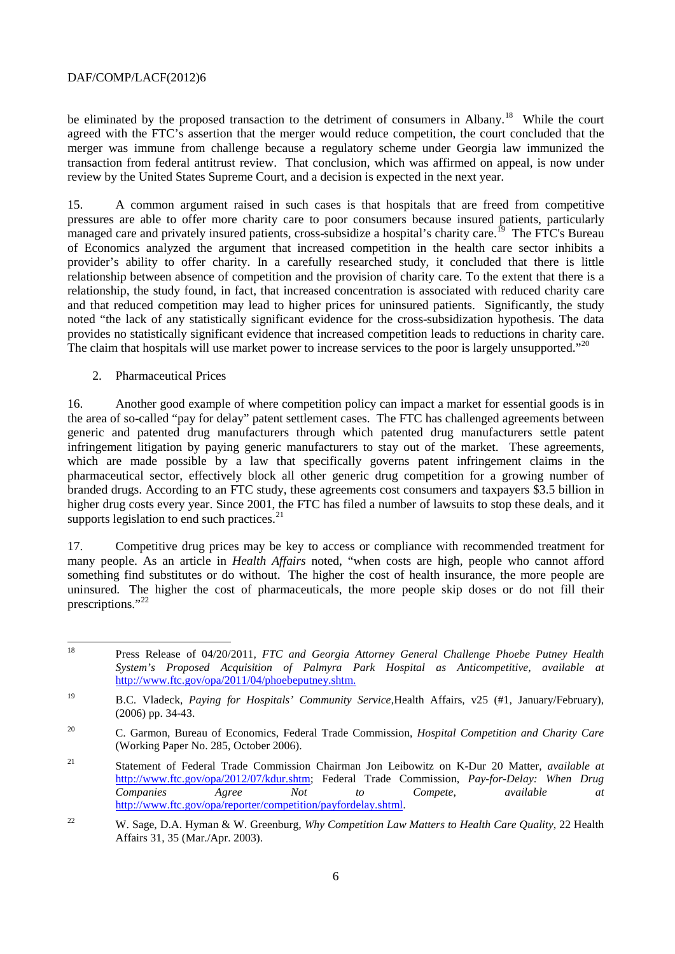be eliminated by the proposed transaction to the detriment of consumers in Albany.<sup>[18](#page-5-0)</sup> While the court agreed with the FTC's assertion that the merger would reduce competition, the court concluded that the merger was immune from challenge because a regulatory scheme under Georgia law immunized the transaction from federal antitrust review. That conclusion, which was affirmed on appeal, is now under review by the United States Supreme Court, and a decision is expected in the next year.

15. A common argument raised in such cases is that hospitals that are freed from competitive pressures are able to offer more charity care to poor consumers because insured patients, particularly managed care and privately insured patients, cross-subsidize a hospital's charity care.<sup>19</sup> The FTC's Bureau of Economics analyzed the argument that increased competition in the health care sector inhibits a provider's ability to offer charity. In a carefully researched study, it concluded that there is little relationship between absence of competition and the provision of charity care. To the extent that there is a relationship, the study found, in fact, that increased concentration is associated with reduced charity care and that reduced competition may lead to higher prices for uninsured patients. Significantly, the study noted "the lack of any statistically significant evidence for the cross-subsidization hypothesis. The data provides no statistically significant evidence that increased competition leads to reductions in charity care. The claim that hospitals will use market power to increase services to the poor is largely unsupported."<sup>[20](#page-5-2)</sup>

#### 2. Pharmaceutical Prices

16. Another good example of where competition policy can impact a market for essential goods is in the area of so-called "pay for delay" patent settlement cases. The FTC has challenged agreements between generic and patented drug manufacturers through which patented drug manufacturers settle patent infringement litigation by paying generic manufacturers to stay out of the market. These agreements, which are made possible by a law that specifically governs patent infringement claims in the pharmaceutical sector, effectively block all other generic drug competition for a growing number of branded drugs. According to an FTC study, these agreements cost consumers and taxpayers \$3.5 billion in higher drug costs every year. Since 2001, the FTC has filed a number of lawsuits to stop these deals, and it supports legislation to end such practices. $^{21}$  $^{21}$  $^{21}$ 

17. Competitive drug prices may be key to access or compliance with recommended treatment for many people. As an article in *Health Affairs* noted, "when costs are high, people who cannot afford something find substitutes or do without. The higher the cost of health insurance, the more people are uninsured. The higher the cost of pharmaceuticals, the more people skip doses or do not fill their prescriptions."<sup>[22](#page-5-4)</sup>

<span id="page-5-0"></span> <sup>18</sup> Press Release of 04/20/2011*, FTC and Georgia Attorney General Challenge Phoebe Putney Health System's Proposed Acquisition of Palmyra Park Hospital as Anticompetitive, available at* [http://www.ftc.gov/opa/2011/04/phoebeputney.shtm.](http://www.ftc.gov/opa/2011/04/phoebeputney.shtm)

<span id="page-5-1"></span><sup>19</sup> B.C. Vladeck, *Paying for Hospitals' Community Service*,Health Affairs, v25 (#1, January/February), (2006) pp. 34-43.

<span id="page-5-2"></span><sup>20</sup> C. Garmon, Bureau of Economics, Federal Trade Commission, *Hospital Competition and Charity Care* (Working Paper No. 285, October 2006).

<span id="page-5-3"></span><sup>21</sup> Statement of Federal Trade Commission Chairman Jon Leibowitz on K-Dur 20 Matter, *available at* [http://www.ftc.gov/opa/2012/07/kdur.shtm;](http://www.ftc.gov/opa/2012/07/kdur.shtm) Federal Trade Commission, *Pay-for-Delay: When Drug Companies Agree Not to Compete*, *available at* [http://www.ftc.gov/opa/reporter/competition/payfordelay.shtml.](http://www.ftc.gov/opa/reporter/competition/payfordelay.shtml) 

<span id="page-5-4"></span><sup>22</sup> W. Sage, D.A. Hyman & W. Greenburg, *Why Competition Law Matters to Health Care Quality,* 22 Health Affairs 31, 35 (Mar./Apr. 2003).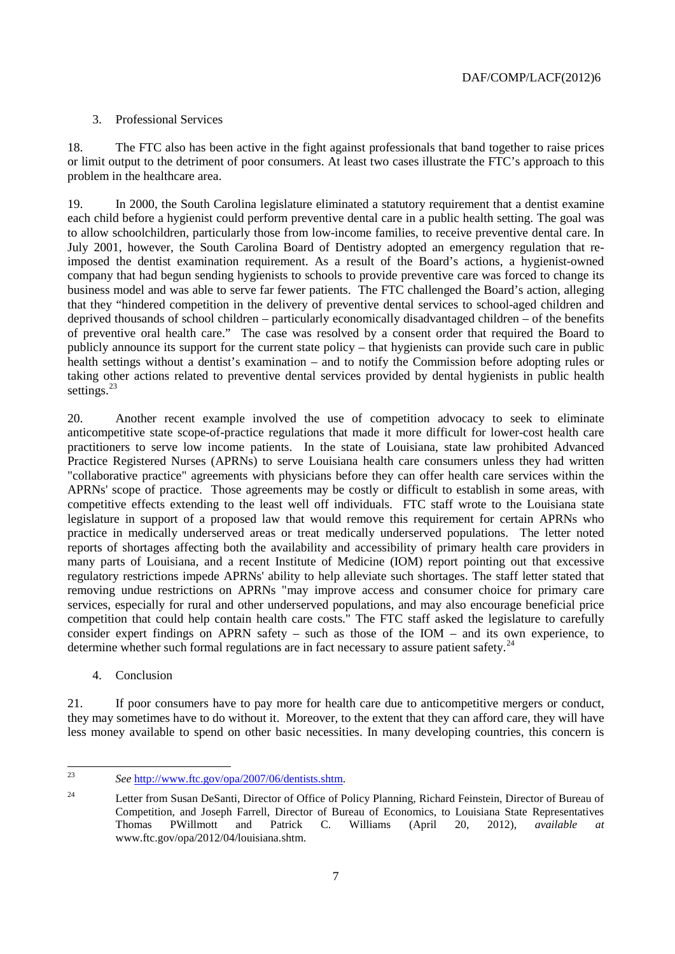# 3. Professional Services

18. The FTC also has been active in the fight against professionals that band together to raise prices or limit output to the detriment of poor consumers. At least two cases illustrate the FTC's approach to this problem in the healthcare area.

19. In 2000, the South Carolina legislature eliminated a statutory requirement that a dentist examine each child before a hygienist could perform preventive dental care in a public health setting. The goal was to allow schoolchildren, particularly those from low-income families, to receive preventive dental care. In July 2001, however, the South Carolina Board of Dentistry adopted an emergency regulation that reimposed the dentist examination requirement. As a result of the Board's actions, a hygienist-owned company that had begun sending hygienists to schools to provide preventive care was forced to change its business model and was able to serve far fewer patients. The FTC challenged the Board's action, alleging that they "hindered competition in the delivery of preventive dental services to school-aged children and deprived thousands of school children – particularly economically disadvantaged children – of the benefits of preventive oral health care." The case was resolved by a consent order that required the Board to publicly announce its support for the current state policy – that hygienists can provide such care in public health settings without a dentist's examination – and to notify the Commission before adopting rules or taking other actions related to preventive dental services provided by dental hygienists in public health settings.<sup>[23](#page-6-0)</sup>

20. Another recent example involved the use of competition advocacy to seek to eliminate anticompetitive state scope-of-practice regulations that made it more difficult for lower-cost health care practitioners to serve low income patients. In the state of Louisiana, state law prohibited Advanced Practice Registered Nurses (APRNs) to serve Louisiana health care consumers unless they had written "collaborative practice" agreements with physicians before they can offer health care services within the APRNs' scope of practice. Those agreements may be costly or difficult to establish in some areas, with competitive effects extending to the least well off individuals. FTC staff wrote to the Louisiana state legislature in support of a proposed law that would remove this requirement for certain APRNs who practice in medically underserved areas or treat medically underserved populations. The letter noted reports of shortages affecting both the availability and accessibility of primary health care providers in many parts of Louisiana, and a recent Institute of Medicine (IOM) report pointing out that excessive regulatory restrictions impede APRNs' ability to help alleviate such shortages. The staff letter stated that removing undue restrictions on APRNs "may improve access and consumer choice for primary care services, especially for rural and other underserved populations, and may also encourage beneficial price competition that could help contain health care costs." The FTC staff asked the legislature to carefully consider expert findings on APRN safety – such as those of the IOM – and its own experience, to determine whether such formal regulations are in fact necessary to assure patient safety.<sup>[24](#page-6-1)</sup>

4. Conclusion

21. If poor consumers have to pay more for health care due to anticompetitive mergers or conduct, they may sometimes have to do without it. Moreover, to the extent that they can afford care, they will have less money available to spend on other basic necessities. In many developing countries, this concern is

<span id="page-6-0"></span> <sup>23</sup> *See* [http://www.ftc.gov/opa/2007/06/dentists.shtm.](http://www.ftc.gov/opa/2007/06/dentists.shtm) 

<span id="page-6-1"></span><sup>&</sup>lt;sup>24</sup> Letter from Susan DeSanti, Director of Office of Policy Planning, Richard Feinstein, Director of Bureau of Competition, and Joseph Farrell, Director of Bureau of Economics, to Louisiana State Representatives<br>
Thomas PWillmott and Patrick C. Williams (April 20, 2012), available at Thomas PWillmott and Patrick C. Williams (April 20, 2012), *available at* www.ftc.gov/opa/2012/04/louisiana.shtm.